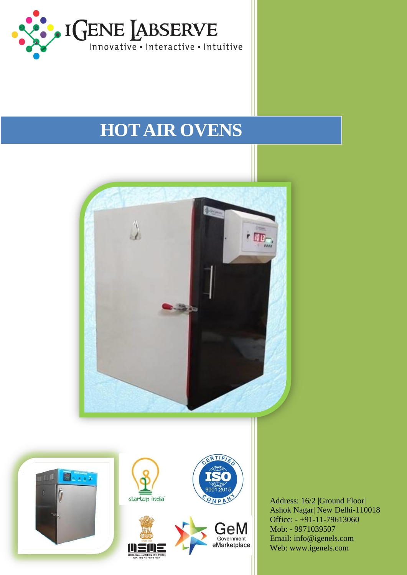

## **HOT AIR OVENS**



M

OMPA

GeM Government eMarketplace

n

Address: 16/2 |Ground Floor| Ashok Nagar| New Delhi-110018 Office:  $-+91-11-79613060$ Mob: - 9971039507 Email: info@igenels.com Web: www.igenels.com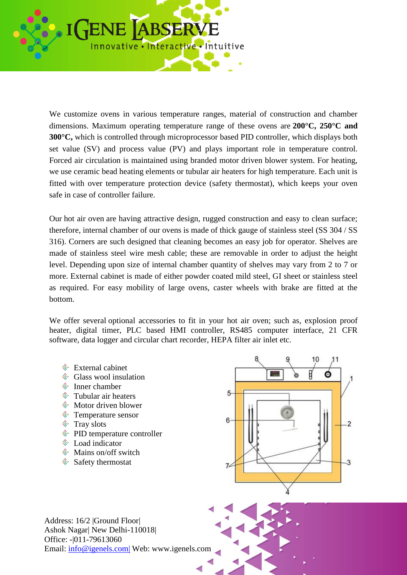

We customize ovens in various temperature ranges, material of construction and chamber dimensions. Maximum operating temperature range of these ovens are **200°C, 250°C and 300°C,** which is controlled through microprocessor based PID controller, which displays both set value (SV) and process value (PV) and plays important role in temperature control. Forced air circulation is maintained using branded motor driven blower system. For heating, we use ceramic bead heating elements or tubular air heaters for high temperature. Each unit is fitted with over temperature protection device (safety thermostat), which keeps your oven safe in case of controller failure.

Our hot air oven are having attractive design, rugged construction and easy to clean surface; therefore, internal chamber of our ovens is made of thick gauge of stainless steel (SS 304 / SS 316). Corners are such designed that cleaning becomes an easy job for operator. Shelves are made of stainless steel wire mesh cable; these are removable in order to adjust the height level. Depending upon size of internal chamber quantity of shelves may vary from 2 to 7 or more. External cabinet is made of either powder coated mild steel, GI sheet or stainless steel as required. For easy mobility of large ovens, caster wheels with brake are fitted at the bottom.

We offer several optional accessories to fit in your hot air oven; such as, explosion proof heater, digital timer, PLC based HMI controller, RS485 computer interface, 21 CFR software, data logger and circular chart recorder, HEPA filter air inlet etc.

- $\hat{\mathcal{F}}$  External cabinet
- $\hat{\mathcal{F}}$  Glass wool insulation
- Inner chamber
- $\hat{\mathcal{F}}$  Tubular air heaters
- **♦ Motor driven blower**
- Temperature sensor
- $\hat{\mathcal{F}}$  Tray slots
- $\hat{\mathcal{P}}$  PID temperature controller
- Load indicator
- $\textcircled{}$  Mains on/off switch
- $\hat{\mathcal{S}}$  Safety thermostat



Address: 16/2 |Ground Floor| Ashok Nagar| New Delhi-110018| Office: -|011-79613060 Email: info@igenels.com| Web: www.igenels.com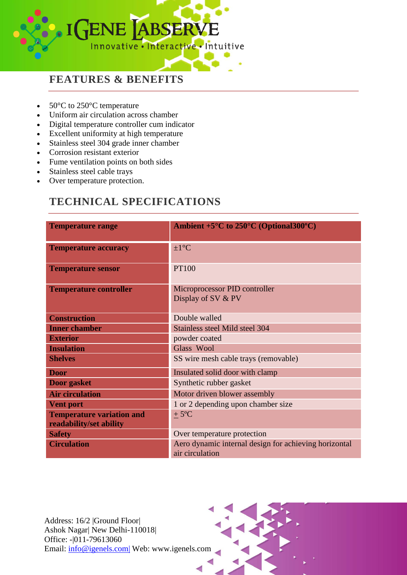

## **FEATURES & BENEFITS**

- $50^{\circ}$ C to  $250^{\circ}$ C temperature
- Uniform air circulation across chamber
- Digital temperature controller cum indicator
- Excellent uniformity at high temperature
- Stainless steel 304 grade inner chamber
- Corrosion resistant exterior
- Fume ventilation points on both sides
- Stainless steel cable trays
- Over temperature protection.

## **TECHNICAL SPECIFICATIONS**

| <b>Temperature range</b>                                    | Ambient $+5^{\circ}$ C to $250^{\circ}$ C (Optional 300°C)               |  |
|-------------------------------------------------------------|--------------------------------------------------------------------------|--|
| <b>Temperature accuracy</b>                                 | $\pm 1$ °C                                                               |  |
| <b>Temperature sensor</b>                                   | <b>PT100</b>                                                             |  |
| <b>Temperature controller</b>                               | Microprocessor PID controller<br>Display of SV & PV                      |  |
| <b>Construction</b>                                         | Double walled                                                            |  |
| <b>Inner chamber</b>                                        | Stainless steel Mild steel 304                                           |  |
| <b>Exterior</b>                                             | powder coated                                                            |  |
| <b>Insulation</b>                                           | Glass Wool                                                               |  |
| <b>Shelves</b>                                              | SS wire mesh cable trays (removable)                                     |  |
| <b>Door</b>                                                 | Insulated solid door with clamp                                          |  |
| Door gasket                                                 | Synthetic rubber gasket                                                  |  |
| <b>Air circulation</b>                                      | Motor driven blower assembly                                             |  |
| <b>Vent port</b>                                            | 1 or 2 depending upon chamber size                                       |  |
| <b>Temperature variation and</b><br>readability/set ability | $+5^{\circ}C$                                                            |  |
| <b>Safety</b>                                               | Over temperature protection                                              |  |
| <b>Circulation</b>                                          | Aero dynamic internal design for achieving horizontal<br>air circulation |  |

Address: 16/2 |Ground Floor| Ashok Nagar| New Delhi-110018| Office: -|011-79613060 Email: info@igenels.com| Web: www.igenels.com